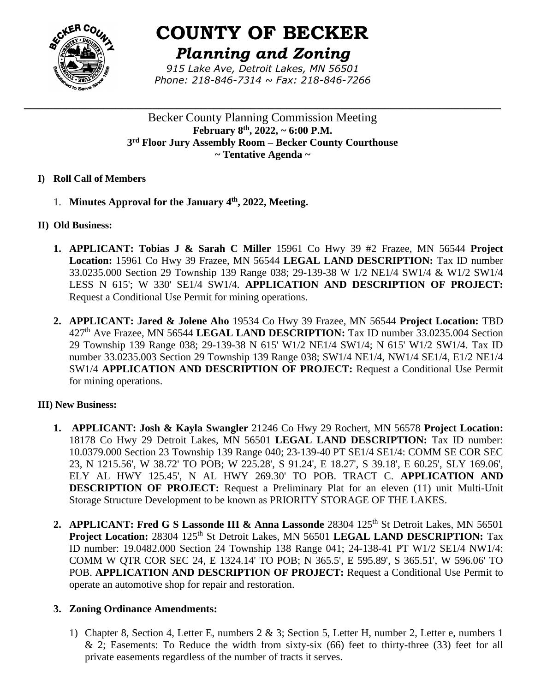

# **COUNTY OF BECKER**

*Planning and Zoning*

*915 Lake Ave, Detroit Lakes, MN 56501 Phone: 218-846-7314 ~ Fax: 218-846-7266*

**\_\_\_\_\_\_\_\_\_\_\_\_\_\_\_\_\_\_\_\_\_\_\_\_\_\_\_\_\_\_\_\_\_\_\_\_\_\_\_\_\_\_\_\_\_\_\_\_\_\_\_\_\_\_\_\_\_\_\_\_\_\_\_\_\_\_\_\_\_\_\_\_\_\_\_\_\_\_**

Becker County Planning Commission Meeting **February 8th , 2022, ~ 6:00 P.M. 3 rd Floor Jury Assembly Room – Becker County Courthouse ~ Tentative Agenda ~**

- **I) Roll Call of Members**
	- 1. **Minutes Approval for the January 4th , 2022, Meeting.**
- **II) Old Business:**
	- **1. APPLICANT: Tobias J & Sarah C Miller** 15961 Co Hwy 39 #2 Frazee, MN 56544 **Project Location:** 15961 Co Hwy 39 Frazee, MN 56544 **LEGAL LAND DESCRIPTION:** Tax ID number 33.0235.000 Section 29 Township 139 Range 038; 29-139-38 W 1/2 NE1/4 SW1/4 & W1/2 SW1/4 LESS N 615'; W 330' SE1/4 SW1/4. **APPLICATION AND DESCRIPTION OF PROJECT:**  Request a Conditional Use Permit for mining operations.
	- **2. APPLICANT: Jared & Jolene Aho** 19534 Co Hwy 39 Frazee, MN 56544 **Project Location:** TBD 427th Ave Frazee, MN 56544 **LEGAL LAND DESCRIPTION:** Tax ID number 33.0235.004 Section 29 Township 139 Range 038; 29-139-38 N 615' W1/2 NE1/4 SW1/4; N 615' W1/2 SW1/4. Tax ID number 33.0235.003 Section 29 Township 139 Range 038; SW1/4 NE1/4, NW1/4 SE1/4, E1/2 NE1/4 SW1/4 **APPLICATION AND DESCRIPTION OF PROJECT:** Request a Conditional Use Permit for mining operations.

# **III) New Business:**

- **1. APPLICANT: Josh & Kayla Swangler** 21246 Co Hwy 29 Rochert, MN 56578 **Project Location:** 18178 Co Hwy 29 Detroit Lakes, MN 56501 **LEGAL LAND DESCRIPTION:** Tax ID number: 10.0379.000 Section 23 Township 139 Range 040; 23-139-40 PT SE1/4 SE1/4: COMM SE COR SEC 23, N 1215.56', W 38.72' TO POB; W 225.28', S 91.24', E 18.27', S 39.18', E 60.25', SLY 169.06', ELY AL HWY 125.45', N AL HWY 269.30' TO POB. TRACT C. **APPLICATION AND DESCRIPTION OF PROJECT:** Request a Preliminary Plat for an eleven (11) unit Multi-Unit Storage Structure Development to be known as PRIORITY STORAGE OF THE LAKES.
- 2. **APPLICANT: Fred G S Lassonde III & Anna Lassonde** 28304 125<sup>th</sup> St Detroit Lakes, MN 56501 **Project Location:** 28304 125<sup>th</sup> St Detroit Lakes, MN 56501 **LEGAL LAND DESCRIPTION:** Tax ID number: 19.0482.000 Section 24 Township 138 Range 041; 24-138-41 PT W1/2 SE1/4 NW1/4: COMM W QTR COR SEC 24, E 1324.14' TO POB; N 365.5', E 595.89', S 365.51', W 596.06' TO POB. **APPLICATION AND DESCRIPTION OF PROJECT:** Request a Conditional Use Permit to operate an automotive shop for repair and restoration.

# **3. Zoning Ordinance Amendments:**

1) Chapter 8, Section 4, Letter E, numbers 2 & 3; Section 5, Letter H, number 2, Letter e, numbers 1  $& 2$ ; Easements: To Reduce the width from sixty-six (66) feet to thirty-three (33) feet for all private easements regardless of the number of tracts it serves.